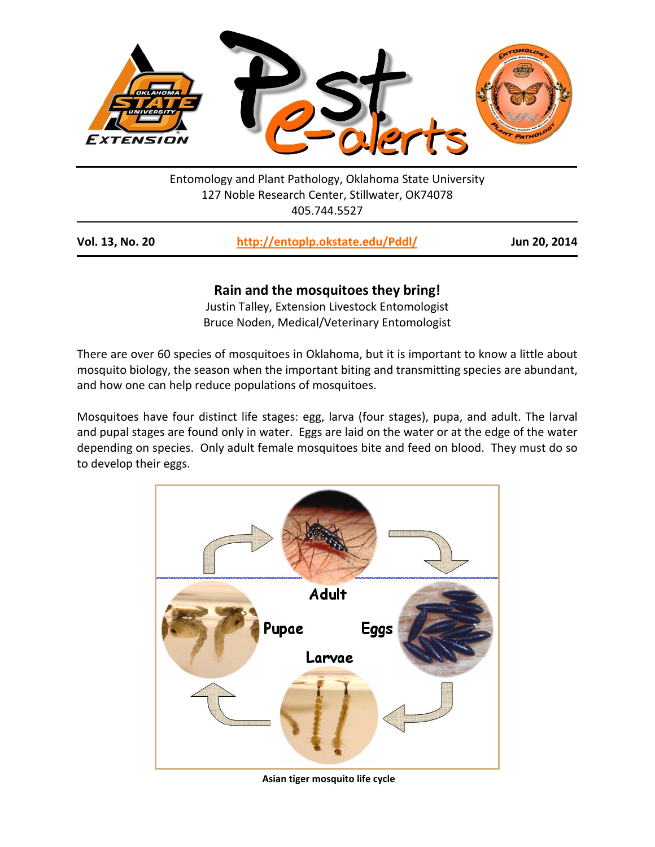

Entomology and Plant Pathology, Oklahoma State University 127 Noble Research Center, Stillwater, OK74078 405.744.5527

| http://entoplp.okstate.edu/Pddl/ | Jun 20, 2014 |
|----------------------------------|--------------|
|                                  |              |

# **Rain and the mosquitoes they bring!**

Justin Talley, Extension Livestock Entomologist Bruce Noden, Medical/Veterinary Entomologist

There are over 60 species of mosquitoes in Oklahoma, but it is important to know a little about mosquito biology, the season when the important biting and transmitting species are abundant, and how one can help reduce populations of mosquitoes.

Mosquitoes have four distinct life stages: egg, larva (four stages), pupa, and adult. The larval and pupal stages are found only in water. Eggs are laid on the water or at the edge of the water depending on species. Only adult female mosquitoes bite and feed on blood. They must do so to develop their eggs.



**Asian tiger mosquito life cycle**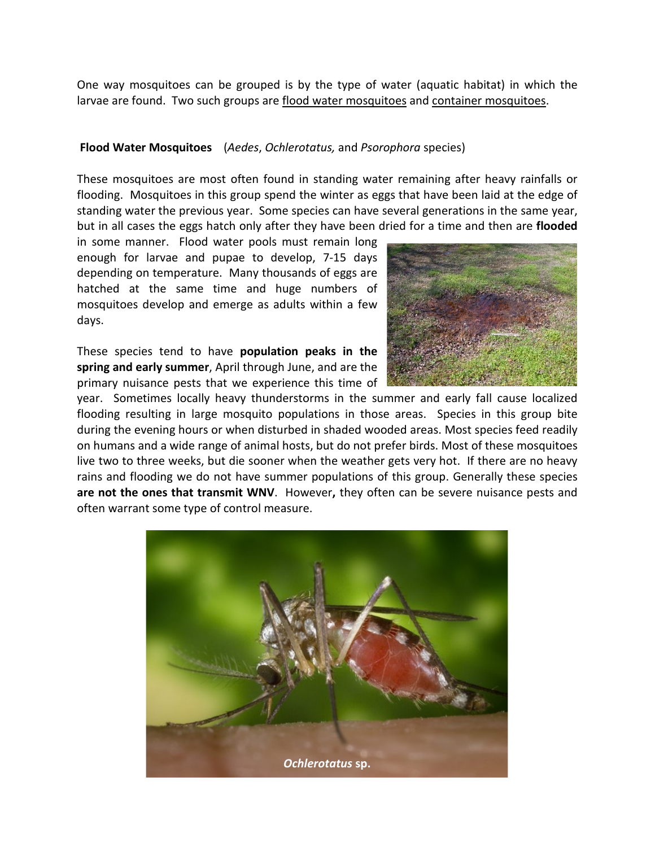One way mosquitoes can be grouped is by the type of water (aquatic habitat) in which the larvae are found. Two such groups are flood water mosquitoes and container mosquitoes.

## **Flood Water Mosquitoes** (*Aedes*, *Ochlerotatus,* and *Psorophora* species)

These mosquitoes are most often found in standing water remaining after heavy rainfalls or flooding. Mosquitoes in this group spend the winter as eggs that have been laid at the edge of standing water the previous year. Some species can have several generations in the same year, but in all cases the eggs hatch only after they have been dried for a time and then are **flooded**

in some manner. Flood water pools must remain long enough for larvae and pupae to develop, 7-15 days depending on temperature. Many thousands of eggs are hatched at the same time and huge numbers of mosquitoes develop and emerge as adults within a few days.

These species tend to have **population peaks in the spring and early summer**, April through June, and are the primary nuisance pests that we experience this time of



year. Sometimes locally heavy thunderstorms in the summer and early fall cause localized flooding resulting in large mosquito populations in those areas. Species in this group bite during the evening hours or when disturbed in shaded wooded areas. Most species feed readily on humans and a wide range of animal hosts, but do not prefer birds. Most of these mosquitoes live two to three weeks, but die sooner when the weather gets very hot. If there are no heavy rains and flooding we do not have summer populations of this group. Generally these species **are not the ones that transmit WNV**. However**,** they often can be severe nuisance pests and often warrant some type of control measure.

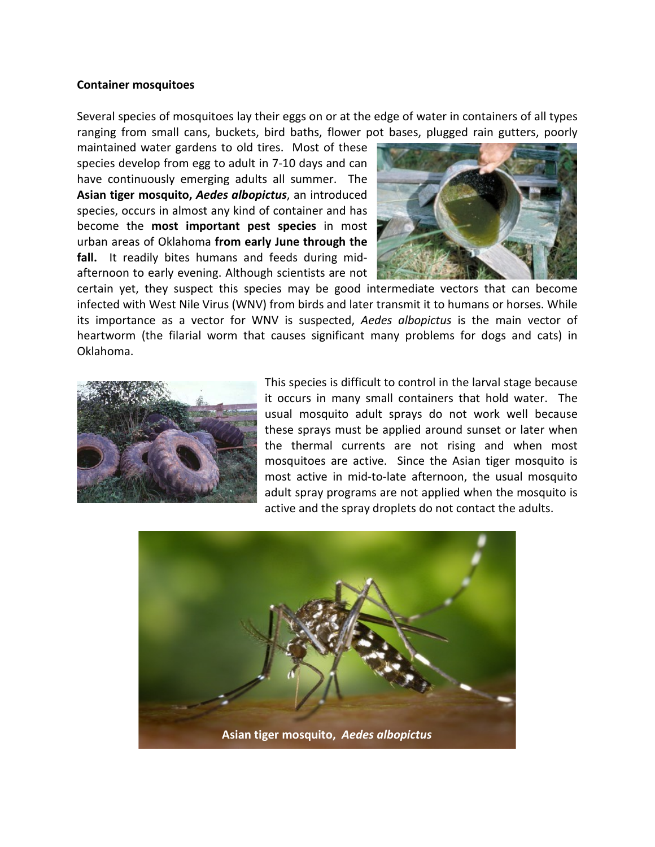#### **Container mosquitoes**

Several species of mosquitoes lay their eggs on or at the edge of water in containers of all types ranging from small cans, buckets, bird baths, flower pot bases, plugged rain gutters, poorly

maintained water gardens to old tires. Most of these species develop from egg to adult in 7-10 days and can have continuously emerging adults all summer. The **Asian tiger mosquito,** *Aedes albopictus*, an introduced species, occurs in almost any kind of container and has become the **most important pest species** in most urban areas of Oklahoma **from early June through the fall.** It readily bites humans and feeds during midafternoon to early evening. Although scientists are not



certain yet, they suspect this species may be good intermediate vectors that can become infected with West Nile Virus (WNV) from birds and later transmit it to humans or horses. While its importance as a vector for WNV is suspected, *Aedes albopictus* is the main vector of heartworm (the filarial worm that causes significant many problems for dogs and cats) in Oklahoma.



This species is difficult to control in the larval stage because it occurs in many small containers that hold water. The usual mosquito adult sprays do not work well because these sprays must be applied around sunset or later when the thermal currents are not rising and when most mosquitoes are active. Since the Asian tiger mosquito is most active in mid-to-late afternoon, the usual mosquito adult spray programs are not applied when the mosquito is active and the spray droplets do not contact the adults.

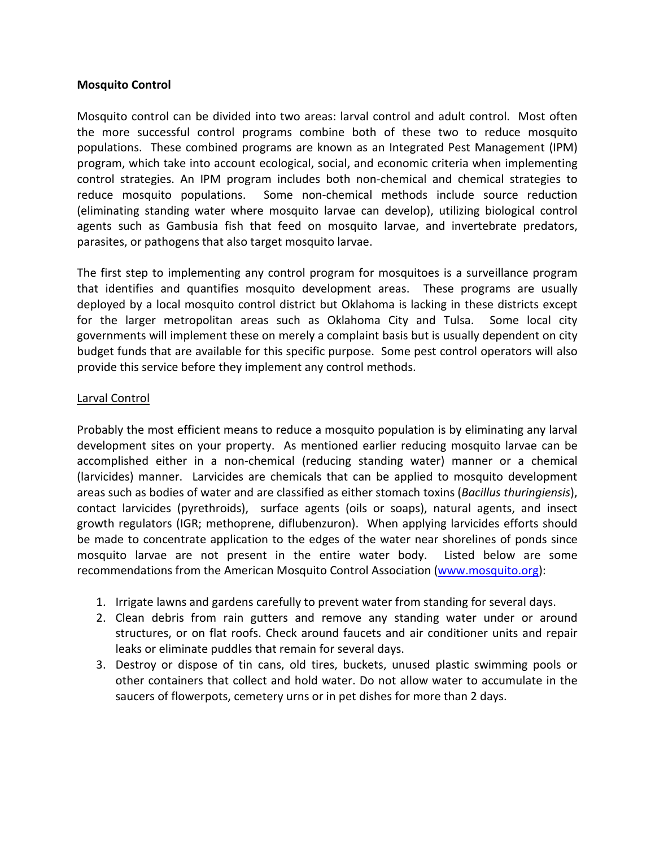## **Mosquito Control**

Mosquito control can be divided into two areas: larval control and adult control. Most often the more successful control programs combine both of these two to reduce mosquito populations. These combined programs are known as an Integrated Pest Management (IPM) program, which take into account ecological, social, and economic criteria when implementing control strategies. An IPM program includes both non-chemical and chemical strategies to reduce mosquito populations. Some non-chemical methods include source reduction (eliminating standing water where mosquito larvae can develop), utilizing biological control agents such as Gambusia fish that feed on mosquito larvae, and invertebrate predators, parasites, or pathogens that also target mosquito larvae.

The first step to implementing any control program for mosquitoes is a surveillance program that identifies and quantifies mosquito development areas. These programs are usually deployed by a local mosquito control district but Oklahoma is lacking in these districts except for the larger metropolitan areas such as Oklahoma City and Tulsa. Some local city governments will implement these on merely a complaint basis but is usually dependent on city budget funds that are available for this specific purpose. Some pest control operators will also provide this service before they implement any control methods.

## Larval Control

Probably the most efficient means to reduce a mosquito population is by eliminating any larval development sites on your property. As mentioned earlier reducing mosquito larvae can be accomplished either in a non-chemical (reducing standing water) manner or a chemical (larvicides) manner. Larvicides are chemicals that can be applied to mosquito development areas such as bodies of water and are classified as either stomach toxins (*Bacillus thuringiensis*), contact larvicides (pyrethroids), surface agents (oils or soaps), natural agents, and insect growth regulators (IGR; methoprene, diflubenzuron). When applying larvicides efforts should be made to concentrate application to the edges of the water near shorelines of ponds since mosquito larvae are not present in the entire water body. Listed below are some recommendations from the American Mosquito Control Association [\(www.mosquito.org\)](http://www.mosquito.org/):

- 1. Irrigate lawns and gardens carefully to prevent water from standing for several days.
- 2. Clean debris from rain gutters and remove any standing water under or around structures, or on flat roofs. Check around faucets and air conditioner units and repair leaks or eliminate puddles that remain for several days.
- 3. Destroy or dispose of tin cans, old tires, buckets, unused plastic swimming pools or other containers that collect and hold water. Do not allow water to accumulate in the saucers of flowerpots, cemetery urns or in pet dishes for more than 2 days.